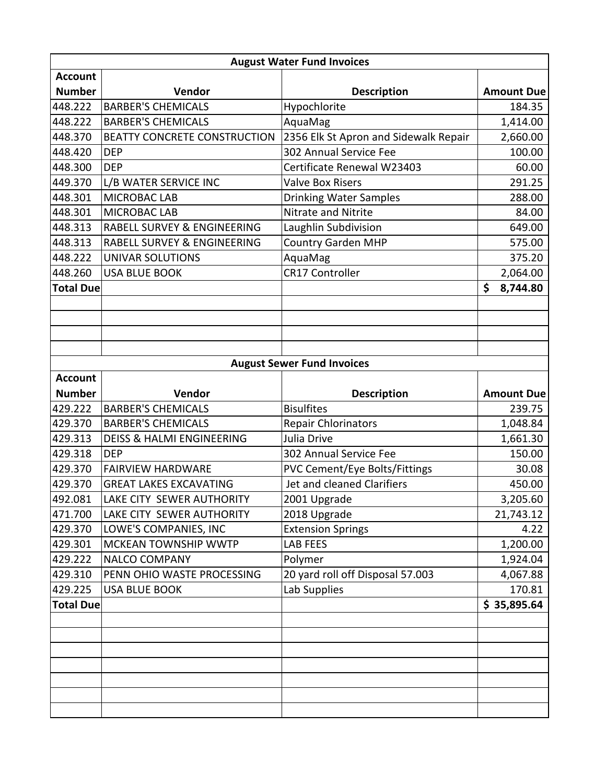| <b>August Water Fund Invoices</b> |                                      |                                       |                   |  |  |  |  |
|-----------------------------------|--------------------------------------|---------------------------------------|-------------------|--|--|--|--|
| <b>Account</b>                    |                                      |                                       |                   |  |  |  |  |
| <b>Number</b>                     | Vendor                               | <b>Description</b>                    | <b>Amount Due</b> |  |  |  |  |
| 448.222                           | <b>BARBER'S CHEMICALS</b>            | Hypochlorite                          | 184.35            |  |  |  |  |
| 448.222                           | <b>BARBER'S CHEMICALS</b>            | AquaMag                               | 1,414.00          |  |  |  |  |
| 448.370                           | BEATTY CONCRETE CONSTRUCTION         | 2356 Elk St Apron and Sidewalk Repair | 2,660.00          |  |  |  |  |
| 448.420                           | <b>DEP</b>                           | 302 Annual Service Fee                | 100.00            |  |  |  |  |
| 448.300                           | <b>DEP</b>                           | Certificate Renewal W23403            | 60.00             |  |  |  |  |
| 449.370                           | L/B WATER SERVICE INC                | <b>Valve Box Risers</b>               | 291.25            |  |  |  |  |
| 448.301                           | <b>MICROBAC LAB</b>                  | <b>Drinking Water Samples</b>         | 288.00            |  |  |  |  |
| 448.301                           | MICROBAC LAB                         | Nitrate and Nitrite                   | 84.00             |  |  |  |  |
| 448.313                           | RABELL SURVEY & ENGINEERING          | Laughlin Subdivision                  | 649.00            |  |  |  |  |
| 448.313                           | RABELL SURVEY & ENGINEERING          | <b>Country Garden MHP</b>             | 575.00            |  |  |  |  |
| 448.222                           | UNIVAR SOLUTIONS                     | AquaMag                               | 375.20            |  |  |  |  |
| 448.260                           | <b>USA BLUE BOOK</b>                 | <b>CR17 Controller</b>                | 2,064.00          |  |  |  |  |
| <b>Total Due</b>                  |                                      |                                       | \$<br>8,744.80    |  |  |  |  |
|                                   |                                      |                                       |                   |  |  |  |  |
|                                   |                                      |                                       |                   |  |  |  |  |
|                                   |                                      |                                       |                   |  |  |  |  |
|                                   |                                      |                                       |                   |  |  |  |  |
|                                   |                                      | <b>August Sewer Fund Invoices</b>     |                   |  |  |  |  |
| <b>Account</b>                    |                                      |                                       |                   |  |  |  |  |
| <b>Number</b>                     | Vendor                               | <b>Description</b>                    | <b>Amount Due</b> |  |  |  |  |
| 429.222                           | <b>BARBER'S CHEMICALS</b>            | <b>Bisulfites</b>                     | 239.75            |  |  |  |  |
| 429.370                           | <b>BARBER'S CHEMICALS</b>            | <b>Repair Chlorinators</b>            | 1,048.84          |  |  |  |  |
| 429.313                           | <b>DEISS &amp; HALMI ENGINEERING</b> | Julia Drive                           | 1,661.30          |  |  |  |  |
| 429.318                           | <b>DEP</b>                           | 302 Annual Service Fee                | 150.00            |  |  |  |  |
| 429.370                           | <b>FAIRVIEW HARDWARE</b>             | <b>PVC Cement/Eye Bolts/Fittings</b>  | 30.08             |  |  |  |  |
| 429.370                           | <b>GREAT LAKES EXCAVATING</b>        | Jet and cleaned Clarifiers            | 450.00            |  |  |  |  |
| 492.081                           | LAKE CITY SEWER AUTHORITY            | 2001 Upgrade                          | 3,205.60          |  |  |  |  |
| 471.700                           | LAKE CITY SEWER AUTHORITY            | 2018 Upgrade                          | 21,743.12         |  |  |  |  |
| 429.370                           | LOWE'S COMPANIES, INC                | <b>Extension Springs</b>              | 4.22              |  |  |  |  |
| 429.301                           | MCKEAN TOWNSHIP WWTP                 | LAB FEES                              | 1,200.00          |  |  |  |  |
| 429.222                           | <b>NALCO COMPANY</b>                 | Polymer                               | 1,924.04          |  |  |  |  |
| 429.310                           | PENN OHIO WASTE PROCESSING           | 20 yard roll off Disposal 57.003      | 4,067.88          |  |  |  |  |
| 429.225                           | <b>USA BLUE BOOK</b>                 | Lab Supplies                          | 170.81            |  |  |  |  |
| <b>Total Due</b>                  |                                      |                                       | \$35,895.64       |  |  |  |  |
|                                   |                                      |                                       |                   |  |  |  |  |
|                                   |                                      |                                       |                   |  |  |  |  |
|                                   |                                      |                                       |                   |  |  |  |  |
|                                   |                                      |                                       |                   |  |  |  |  |
|                                   |                                      |                                       |                   |  |  |  |  |
|                                   |                                      |                                       |                   |  |  |  |  |
|                                   |                                      |                                       |                   |  |  |  |  |